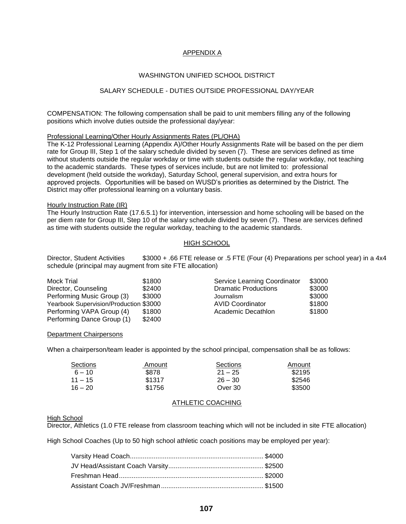# APPENDIX A

## WASHINGTON UNIFIED SCHOOL DISTRICT

# SALARY SCHEDULE - DUTIES OUTSIDE PROFESSIONAL DAY/YEAR

COMPENSATION: The following compensation shall be paid to unit members filling any of the following positions which involve duties outside the professional day/year:

#### Professional Learning/Other Hourly Assignments Rates (PL/OHA)

The K-12 Professional Learning (Appendix A)/Other Hourly Assignments Rate will be based on the per diem rate for Group III, Step 1 of the salary schedule divided by seven (7). These are services defined as time without students outside the regular workday or time with students outside the regular workday, not teaching to the academic standards. These types of services include, but are not limited to: professional development (held outside the workday), Saturday School, general supervision, and extra hours for approved projects. Opportunities will be based on WUSD's priorities as determined by the District. The District may offer professional learning on a voluntary basis.

#### Hourly Instruction Rate (IR)

The Hourly Instruction Rate (17.6.5.1) for intervention, intersession and home schooling will be based on the per diem rate for Group III, Step 10 of the salary schedule divided by seven (7). These are services defined as time with students outside the regular workday, teaching to the academic standards.

## HIGH SCHOOL

Director, Student Activities \$3000 + .66 FTE release or .5 FTE (Four (4) Preparations per school year) in a 4x4 schedule (principal may augment from site FTE allocation)

| Mock Trial                             | \$1800 | Service Learning Coordinator | \$3000 |
|----------------------------------------|--------|------------------------------|--------|
| Director, Counseling                   | \$2400 | <b>Dramatic Productions</b>  | \$3000 |
| Performing Music Group (3)             | \$3000 | Journalism                   | \$3000 |
| Yearbook Supervision/Production \$3000 |        | <b>AVID Coordinator</b>      | \$1800 |
| Performing VAPA Group (4)              | \$1800 | Academic Decathlon           | \$1800 |
| Performing Dance Group (1)             | \$2400 |                              |        |

#### Department Chairpersons

When a chairperson/team leader is appointed by the school principal, compensation shall be as follows:

| Sections  | Amount | Sections  | Amount |
|-----------|--------|-----------|--------|
| $6 - 10$  | \$878  | $21 - 25$ | \$2195 |
| $11 - 15$ | \$1317 | $26 - 30$ | \$2546 |
| $16 - 20$ | \$1756 | Over 30   | \$3500 |

# ATHLETIC COACHING

### High School

Director, Athletics (1.0 FTE release from classroom teaching which will not be included in site FTE allocation)

High School Coaches (Up to 50 high school athletic coach positions may be employed per year):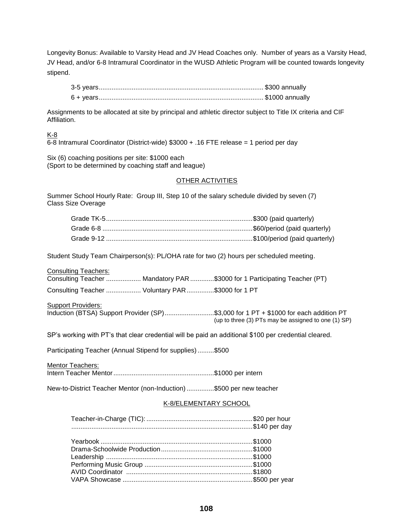Longevity Bonus: Available to Varsity Head and JV Head Coaches only. Number of years as a Varsity Head, JV Head, and/or 6-8 Intramural Coordinator in the WUSD Athletic Program will be counted towards longevity stipend.

Assignments to be allocated at site by principal and athletic director subject to Title IX criteria and CIF Affiliation.

# K-8

6-8 Intramural Coordinator (District-wide) \$3000 + .16 FTE release = 1 period per day

Six (6) coaching positions per site: \$1000 each (Sport to be determined by coaching staff and league)

## **OTHER ACTIVITIES**

Summer School Hourly Rate: Group III, Step 10 of the salary schedule divided by seven (7) Class Size Overage

| Student Study Team Chairperson(s): PL/OHA rate for two (2) hours per scheduled meeting.                  |                                                                                                                                             |
|----------------------------------------------------------------------------------------------------------|---------------------------------------------------------------------------------------------------------------------------------------------|
| <b>Consulting Teachers:</b><br>Consulting Teacher  Mandatory PAR \$3000 for 1 Participating Teacher (PT) |                                                                                                                                             |
| Consulting Teacher  Voluntary PAR \$3000 for 1 PT                                                        |                                                                                                                                             |
| <b>Support Providers:</b>                                                                                | Induction (BTSA) Support Provider (SP)\$3,000 for 1 PT + \$1000 for each addition PT<br>(up to three (3) PTs may be assigned to one (1) SP) |
| SP's working with PT's that clear credential will be paid an additional \$100 per credential cleared.    |                                                                                                                                             |

Participating Teacher (Annual Stipend for supplies).........\$500

Mentor Teachers: Intern Teacher Mentor.......................................................\$1000 per intern

New-to-District Teacher Mentor (non-Induction)...............\$500 per new teacher

# K-8/ELEMENTARY SCHOOL